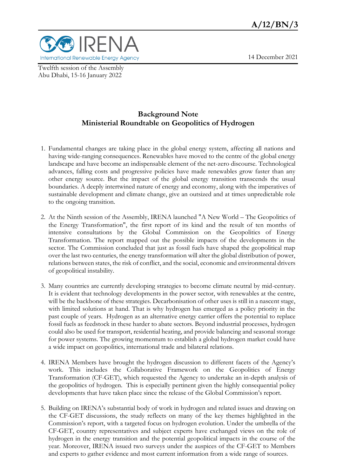

Twelfth session of the Assembly Abu Dhabi, 15-16 January 2022

## 14 December 2021

# **Background Note Ministerial Roundtable on Geopolitics of Hydrogen**

- 1. Fundamental changes are taking place in the global energy system, affecting all nations and having wide-ranging consequences. Renewables have moved to the centre of the global energy landscape and have become an indispensable element of the net-zero discourse. Technological advances, falling costs and progressive policies have made renewables grow faster than any other energy source. But the impact of the global energy transition transcends the usual boundaries. A deeply intertwined nature of energy and economy, along with the imperatives of sustainable development and climate change, give an outsized and at times unpredictable role to the ongoing transition.
- 2. At the Ninth session of the Assembly, IRENA launched "A New World The Geopolitics of the Energy Transformation", the first report of its kind and the result of ten months of intensive consultations by the Global Commission on the Geopolitics of Energy Transformation. The report mapped out the possible impacts of the developments in the sector. The Commission concluded that just as fossil fuels have shaped the geopolitical map over the last two centuries, the energy transformation will alter the global distribution of power, relations between states, the risk of conflict, and the social, economic and environmental drivers of geopolitical instability.
- 3. Many countries are currently developing strategies to become climate neutral by mid-century. It is evident that technology developments in the power sector, with renewables at the centre, will be the backbone of these strategies. Decarbonisation of other uses is still in a nascent stage, with limited solutions at hand. That is why hydrogen has emerged as a policy priority in the past couple of years. Hydrogen as an alternative energy carrier offers the potential to replace fossil fuels as feedstock in these harder to abate sectors. Beyond industrial processes, hydrogen could also be used for transport, residential heating, and provide balancing and seasonal storage for power systems. The growing momentum to establish a global hydrogen market could have a wide impact on geopolitics, international trade and bilateral relations.
- 4. IRENA Members have brought the hydrogen discussion to different facets of the Agency's work. This includes the Collaborative Framework on the Geopolitics of Energy Transformation (CF-GET), which requested the Agency to undertake an in-depth analysis of the geopolitics of hydrogen. This is especially pertinent given the highly consequential policy developments that have taken place since the release of the Global Commission's report.
- 5. Building on IRENA's substantial body of work in hydrogen and related issues and drawing on the CF-GET discussions, the study reflects on many of the key themes highlighted in the Commission's report, with a targeted focus on hydrogen evolution. Under the umbrella of the CF-GET, country representatives and subject experts have exchanged views on the role of hydrogen in the energy transition and the potential geopolitical impacts in the course of the year. Moreover, IRENA issued two surveys under the auspices of the CF-GET to Members and experts to gather evidence and most current information from a wide range of sources.